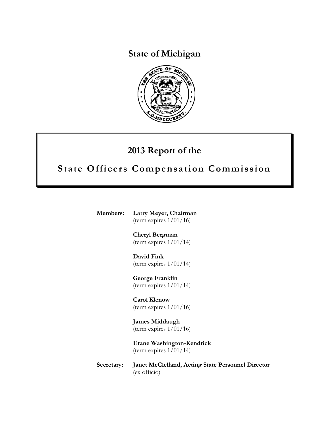**State of Michigan**



# **2013 Report of the**

# **State Officers Compensation Commission**

**Members: Larry Meyer, Chairman** (term expires  $1/01/16$ )

> **Cheryl Bergman** (term expires 1/01/14)

> **David Fink** (term expires  $1/01/14$ )

> **George Franklin** (term expires  $1/01/14$ )

**Carol Klenow** (term expires  $1/01/16$ )

**James Middaugh** (term expires  $1/01/16$ )

**Erane Washington-Kendrick** (term expires  $1/01/14$ )

**Secretary: Janet McClelland, Acting State Personnel Director** (ex officio)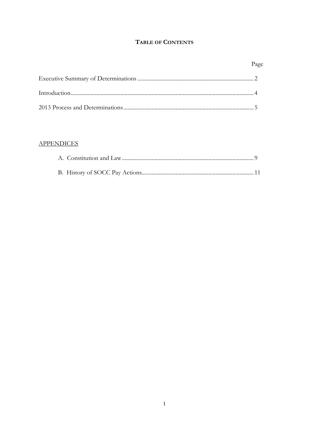### TABLE OF CONTENTS

### **APPENDICES**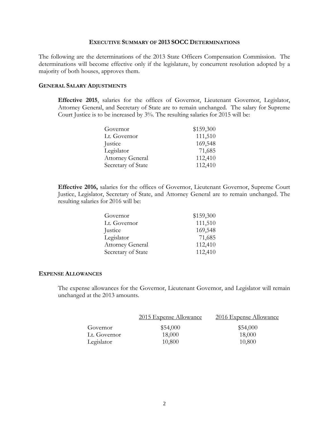#### **EXECUTIVE SUMMARY OF 2013 SOCC DETERMINATIONS**

The following are the determinations of the 2013 State Officers Compensation Commission. The determinations will become effective only if the legislature, by concurrent resolution adopted by a majority of both houses, approves them.

#### **GENERAL SALARY ADJUSTMENTS**

**Effective 2015**, salaries for the offices of Governor, Lieutenant Governor, Legislator, Attorney General, and Secretary of State are to remain unchanged. The salary for Supreme Court Justice is to be increased by 3%. The resulting salaries for 2015 will be:

| Governor                | \$159,300 |
|-------------------------|-----------|
| Lt. Governor            | 111,510   |
| Justice                 | 169,548   |
| Legislator              | 71,685    |
| <b>Attorney General</b> | 112,410   |
| Secretary of State      | 112,410   |

**Effective 2016,** salaries for the offices of Governor, Lieutenant Governor, Supreme Court Justice, Legislator, Secretary of State, and Attorney General are to remain unchanged. The resulting salaries for 2016 will be:

| Governor                | \$159,300 |
|-------------------------|-----------|
| Lt. Governor            | 111,510   |
| Justice                 | 169,548   |
| Legislator              | 71,685    |
| <b>Attorney General</b> | 112,410   |
| Secretary of State      | 112,410   |

#### **EXPENSE ALLOWANCES**

The expense allowances for the Governor, Lieutenant Governor, and Legislator will remain unchanged at the 2013 amounts.

|              | 2015 Expense Allowance | 2016 Expense Allowance |
|--------------|------------------------|------------------------|
| Governor     | \$54,000               | \$54,000               |
| Lt. Governor | 18,000                 | 18,000                 |
| Legislator   | 10,800                 | 10,800                 |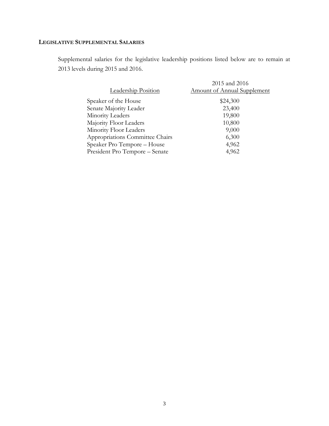### **LEGISLATIVE SUPPLEMENTAL SALARIES**

Supplemental salaries for the legislative leadership positions listed below are to remain at 2013 levels during 2015 and 2016.

| Leadership Position             | 2015 and 2016<br><b>Amount of Annual Supplement</b> |
|---------------------------------|-----------------------------------------------------|
| Speaker of the House            | \$24,300                                            |
| Senate Majority Leader          | 23,400                                              |
| Minority Leaders                | 19,800                                              |
| Majority Floor Leaders          | 10,800                                              |
| Minority Floor Leaders          | 9,000                                               |
| Appropriations Committee Chairs | 6,300                                               |
| Speaker Pro Tempore - House     | 4,962                                               |
| President Pro Tempore – Senate  | 4,962                                               |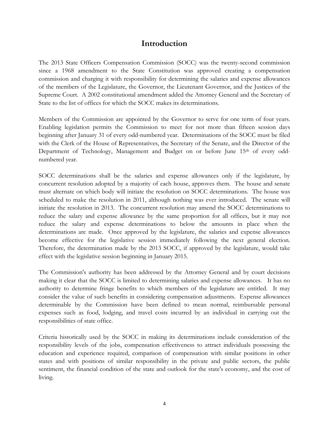### **Introduction**

The 2013 State Officers Compensation Commission (SOCC) was the twenty-second commission since a 1968 amendment to the State Constitution was approved creating a compensation commission and charging it with responsibility for determining the salaries and expense allowances of the members of the Legislature, the Governor, the Lieutenant Governor, and the Justices of the Supreme Court. A 2002 constitutional amendment added the Attorney General and the Secretary of State to the list of offices for which the SOCC makes its determinations.

Members of the Commission are appointed by the Governor to serve for one term of four years. Enabling legislation permits the Commission to meet for not more than fifteen session days beginning after January 31 of every odd-numbered year. Determinations of the SOCC must be filed with the Clerk of the House of Representatives, the Secretary of the Senate, and the Director of the Department of Technology, Management and Budget on or before June 15<sup>th</sup> of every oddnumbered year.

SOCC determinations shall be the salaries and expense allowances only if the legislature, by concurrent resolution adopted by a majority of each house, approves them. The house and senate must alternate on which body will initiate the resolution on SOCC determinations. The house was scheduled to make the resolution in 2011, although nothing was ever introduced. The senate will initiate the resolution in 2013. The concurrent resolution may amend the SOCC determinations to reduce the salary and expense allowance by the same proportion for all offices, but it may not reduce the salary and expense determinations to below the amounts in place when the determinations are made. Once approved by the legislature, the salaries and expense allowances become effective for the legislative session immediately following the next general election. Therefore, the determination made by the 2013 SOCC, if approved by the legislature, would take effect with the legislative session beginning in January 2015.

The Commission's authority has been addressed by the Attorney General and by court decisions making it clear that the SOCC is limited to determining salaries and expense allowances. It has no authority to determine fringe benefits to which members of the legislature are entitled. It may consider the value of such benefits in considering compensation adjustments. Expense allowances determinable by the Commission have been defined to mean normal, reimbursable personal expenses such as food, lodging, and travel costs incurred by an individual in carrying out the responsibilities of state office.

Criteria historically used by the SOCC in making its determinations include consideration of the responsibility levels of the jobs, compensation effectiveness to attract individuals possessing the education and experience required, comparison of compensation with similar positions in other states and with positions of similar responsibility in the private and public sectors, the public sentiment, the financial condition of the state and outlook for the state's economy, and the cost of living.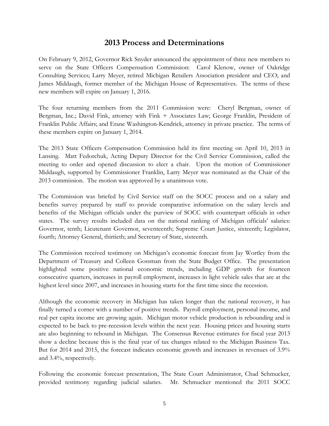### **2013 Process and Determinations**

On February 9, 2012, Governor Rick Snyder announced the appointment of three new members to serve on the State Officers Compensation Commission: Carol Klenow, owner of Oakridge Consulting Services; Larry Meyer, retired Michigan Retailers Association president and CEO; and James Middaugh, former member of the Michigan House of Representatives. The terms of these new members will expire on January 1, 2016.

The four returning members from the 2011 Commission were: Cheryl Bergman, owner of Bergman, Inc.; David Fink, attorney with Fink + Associates Law; George Franklin, President of Franklin Public Affairs; and Erane Washington-Kendrick, attorney in private practice. The terms of these members expire on January 1, 2014.

The 2013 State Officers Compensation Commission held its first meeting on April 10, 2013 in Lansing. Matt Fedorchuk, Acting Deputy Director for the Civil Service Commission, called the meeting to order and opened discussion to elect a chair. Upon the motion of Commissioner Middaugh, supported by Commissioner Franklin, Larry Meyer was nominated as the Chair of the 2013 commission. The motion was approved by a unanimous vote.

The Commission was briefed by Civil Service staff on the SOCC process and on a salary and benefits survey prepared by staff to provide comparative information on the salary levels and benefits of the Michigan officials under the purview of SOCC with counterpart officials in other states. The survey results included data on the national ranking of Michigan officials' salaries: Governor, tenth; Lieutenant Governor, seventeenth; Supreme Court Justice, sixteenth; Legislator, fourth; Attorney General, thirtieth; and Secretary of State, sixteenth.

The Commission received testimony on Michigan's economic forecast from Jay Wortley from the Department of Treasury and Colleen Gossman from the State Budget Office. The presentation highlighted some positive national economic trends, including GDP growth for fourteen consecutive quarters, increases in payroll employment, increases in light vehicle sales that are at the highest level since 2007, and increases in housing starts for the first time since the recession.

Although the economic recovery in Michigan has taken longer than the national recovery, it has finally turned a corner with a number of positive trends. Payroll employment, personal income, and real per capita income are growing again. Michigan motor vehicle production is rebounding and is expected to be back to pre-recession levels within the next year. Housing prices and housing starts are also beginning to rebound in Michigan. The Consensus Revenue estimates for fiscal year 2013 show a decline because this is the final year of tax changes related to the Michigan Business Tax. But for 2014 and 2015, the forecast indicates economic growth and increases in revenues of 3.9% and 3.4%, respectively.

Following the economic forecast presentation, The State Court Administrator, Chad Schmucker, provided testimony regarding judicial salaries. Mr. Schmucker mentioned the 2011 SOCC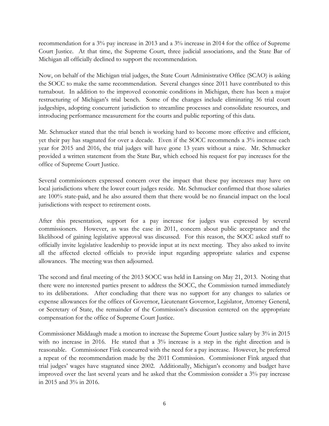recommendation for a 3% pay increase in 2013 and a 3% increase in 2014 for the office of Supreme Court Justice. At that time, the Supreme Court, three judicial associations, and the State Bar of Michigan all officially declined to support the recommendation.

Now, on behalf of the Michigan trial judges, the State Court Administrative Office (SCAO) is asking the SOCC to make the same recommendation. Several changes since 2011 have contributed to this turnabout. In addition to the improved economic conditions in Michigan, there has been a major restructuring of Michigan's trial bench. Some of the changes include eliminating 36 trial court judgeships, adopting concurrent jurisdiction to streamline processes and consolidate resources, and introducing performance measurement for the courts and public reporting of this data.

Mr. Schmucker stated that the trial bench is working hard to become more effective and efficient, yet their pay has stagnated for over a decade. Even if the SOCC recommends a 3% increase each year for 2015 and 2016, the trial judges will have gone 13 years without a raise. Mr. Schmucker provided a written statement from the State Bar, which echoed his request for pay increases for the office of Supreme Court Justice.

Several commissioners expressed concern over the impact that these pay increases may have on local jurisdictions where the lower court judges reside. Mr. Schmucker confirmed that those salaries are 100% state-paid, and he also assured them that there would be no financial impact on the local jurisdictions with respect to retirement costs.

After this presentation, support for a pay increase for judges was expressed by several commissioners. However, as was the case in 2011, concern about public acceptance and the likelihood of gaining legislative approval was discussed. For this reason, the SOCC asked staff to officially invite legislative leadership to provide input at its next meeting. They also asked to invite all the affected elected officials to provide input regarding appropriate salaries and expense allowances. The meeting was then adjourned.

The second and final meeting of the 2013 SOCC was held in Lansing on May 21, 2013. Noting that there were no interested parties present to address the SOCC, the Commission turned immediately to its deliberations. After concluding that there was no support for any changes to salaries or expense allowances for the offices of Governor, Lieutenant Governor, Legislator, Attorney General, or Secretary of State, the remainder of the Commission's discussion centered on the appropriate compensation for the office of Supreme Court Justice.

Commissioner Middaugh made a motion to increase the Supreme Court Justice salary by 3% in 2015 with no increase in 2016. He stated that a 3% increase is a step in the right direction and is reasonable. Commissioner Fink concurred with the need for a pay increase. However, he preferred a repeat of the recommendation made by the 2011 Commission. Commissioner Fink argued that trial judges' wages have stagnated since 2002. Additionally, Michigan's economy and budget have improved over the last several years and he asked that the Commission consider a 3% pay increase in 2015 and 3% in 2016.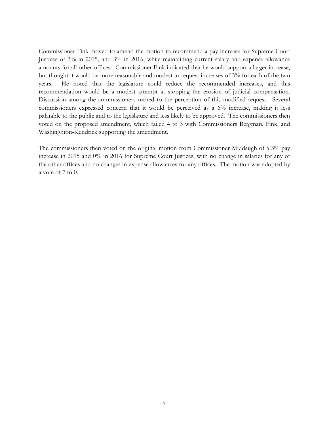Commissioner Fink moved to amend the motion to recommend a pay increase for Supreme Court Justices of 3% in 2015, and 3% in 2016, while maintaining current salary and expense allowance amounts for all other offices. Commissioner Fink indicated that he would support a larger increase, but thought it would be more reasonable and modest to request increases of 3% for each of the two years. He noted that the legislature could reduce the recommended increases, and this recommendation would be a modest attempt at stopping the erosion of judicial compensation. Discussion among the commissioners turned to the perception of this modified request. Several commissioners expressed concern that it would be perceived as a 6% increase, making it less palatable to the public and to the legislature and less likely to be approved. The commissioners then voted on the proposed amendment, which failed 4 to 3 with Commissioners Bergman, Fink, and Washinghton-Kendrick supporting the amendment.

The commissioners then voted on the original motion from Commissioner Middaugh of a 3% pay increase in 2015 and 0% in 2016 for Supreme Court Justices, with no change in salaries for any of the other offices and no changes in expense allowances for any offices. The motion was adopted by a vote of 7 to 0.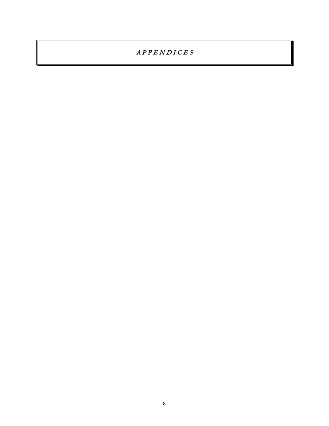$APPENDICES$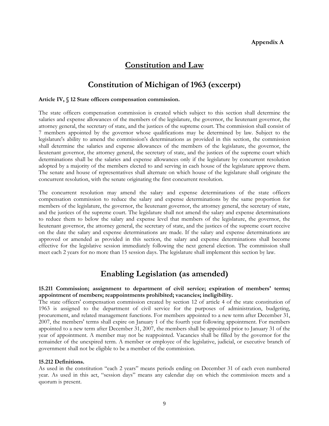### **Constitution and Law**

### **Constitution of Michigan of 1963 (excerpt)**

#### **Article IV, § 12 State officers compensation commission.**

The state officers compensation commission is created which subject to this section shall determine the salaries and expense allowances of the members of the legislature, the governor, the lieutenant governor, the attorney general, the secretary of state, and the justices of the supreme court. The commission shall consist of 7 members appointed by the governor whose qualifications may be determined by law. Subject to the legislature's ability to amend the commission's determinations as provided in this section, the commission shall determine the salaries and expense allowances of the members of the legislature, the governor, the lieutenant governor, the attorney general, the secretary of state, and the justices of the supreme court which determinations shall be the salaries and expense allowances only if the legislature by concurrent resolution adopted by a majority of the members elected to and serving in each house of the legislature approve them. The senate and house of representatives shall alternate on which house of the legislature shall originate the concurrent resolution, with the senate originating the first concurrent resolution.

The concurrent resolution may amend the salary and expense determinations of the state officers compensation commission to reduce the salary and expense determinations by the same proportion for members of the legislature, the governor, the lieutenant governor, the attorney general, the secretary of state, and the justices of the supreme court. The legislature shall not amend the salary and expense determinations to reduce them to below the salary and expense level that members of the legislature, the governor, the lieutenant governor, the attorney general, the secretary of state, and the justices of the supreme court receive on the date the salary and expense determinations are made. If the salary and expense determinations are approved or amended as provided in this section, the salary and expense determinations shall become effective for the legislative session immediately following the next general election. The commission shall meet each 2 years for no more than 15 session days. The legislature shall implement this section by law.

### **Enabling Legislation (as amended)**

#### **15.211 Commission; assignment to department of civil service; expiration of members' terms; appointment of members; reappointments prohibited; vacancies; ineligibility.**

The state officers' compensation commission created by section 12 of article 4 of the state constitution of 1963 is assigned to the department of civil service for the purposes of administration, budgeting, procurement, and related management functions. For members appointed to a new term after December 31, 2007, the members' terms shall expire on January 1 of the fourth year following appointment. For members appointed to a new term after December 31, 2007, the members shall be appointed prior to January 31 of the year of appointment. A member may not be reappointed. Vacancies shall be filled by the governor for the remainder of the unexpired term. A member or employee of the legislative, judicial, or executive branch of government shall not be eligible to be a member of the commission.

#### **15.212 Definitions.**

As used in the constitution "each 2 years" means periods ending on December 31 of each even numbered year. As used in this act, "session days" means any calendar day on which the commission meets and a quorum is present.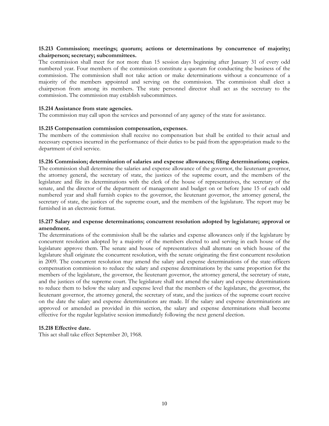#### **15.213 Commission; meetings; quorum; actions or determinations by concurrence of majority; chairperson; secretary; subcommittees.**

The commission shall meet for not more than 15 session days beginning after January 31 of every odd numbered year. Four members of the commission constitute a quorum for conducting the business of the commission. The commission shall not take action or make determinations without a concurrence of a majority of the members appointed and serving on the commission. The commission shall elect a chairperson from among its members. The state personnel director shall act as the secretary to the commission. The commission may establish subcommittees.

#### **15.214 Assistance from state agencies.**

The commission may call upon the services and personnel of any agency of the state for assistance.

#### **15.215 Compensation commission compensation, expenses.**

The members of the commission shall receive no compensation but shall be entitled to their actual and necessary expenses incurred in the performance of their duties to be paid from the appropriation made to the department of civil service.

#### **15.216 Commission; determination of salaries and expense allowances; filing determinations; copies.**

The commission shall determine the salaries and expense allowance of the governor, the lieutenant governor, the attorney general, the secretary of state, the justices of the supreme court, and the members of the legislature and file its determinations with the clerk of the house of representatives, the secretary of the senate, and the director of the department of management and budget on or before June 15 of each odd numbered year and shall furnish copies to the governor, the lieutenant governor, the attorney general, the secretary of state, the justices of the supreme court, and the members of the legislature. The report may be furnished in an electronic format.

#### **15.217 Salary and expense determinations; concurrent resolution adopted by legislature; approval or amendment.**

The determinations of the commission shall be the salaries and expense allowances only if the legislature by concurrent resolution adopted by a majority of the members elected to and serving in each house of the legislature approve them. The senate and house of representatives shall alternate on which house of the legislature shall originate the concurrent resolution, with the senate originating the first concurrent resolution in 2009. The concurrent resolution may amend the salary and expense determinations of the state officers compensation commission to reduce the salary and expense determinations by the same proportion for the members of the legislature, the governor, the lieutenant governor, the attorney general, the secretary of state, and the justices of the supreme court. The legislature shall not amend the salary and expense determinations to reduce them to below the salary and expense level that the members of the legislature, the governor, the lieutenant governor, the attorney general, the secretary of state, and the justices of the supreme court receive on the date the salary and expense determinations are made. If the salary and expense determinations are approved or amended as provided in this section, the salary and expense determinations shall become effective for the regular legislative session immediately following the next general election.

#### **15.218 Effective date.**

This act shall take effect September 20, 1968.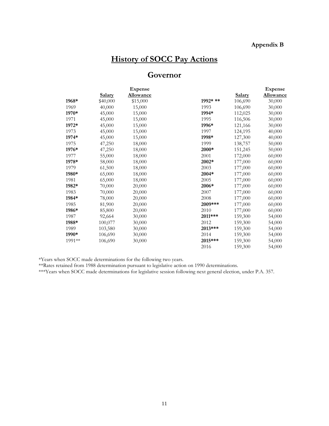### **Appendix B**

## **History of SOCC Pay Actions**

## **Governor**

|          | <b>Expense</b>   |          |         | <b>Expense</b>   |
|----------|------------------|----------|---------|------------------|
| Salary   | <b>Allowance</b> |          | Salary  | <b>Allowance</b> |
| \$40,000 | \$15,000         | 1992* ** | 106,690 | 30,000           |
| 40,000   | 15,000           | 1993     | 106,690 | 30,000           |
| 45,000   | 15,000           | 1994*    | 112,025 | 30,000           |
| 45,000   | 15,000           | 1995     | 116,506 | 30,000           |
| 45,000   | 15,000           | 1996*    | 121,166 | 30,000           |
| 45,000   | 15,000           | 1997     | 124,195 | 40,000           |
| 45,000   | 15,000           | 1998*    | 127,300 | 40,000           |
| 47,250   | 18,000           | 1999     | 138,757 | 50,000           |
| 47,250   | 18,000           | 2000*    | 151,245 | 50,000           |
| 55,000   | 18,000           | 2001     | 172,000 | 60,000           |
| 58,000   | 18,000           | 2002*    | 177,000 | 60,000           |
| 61,500   | 18,000           | 2003     | 177,000 | 60,000           |
| 65,000   | 18,000           | 2004*    | 177,000 | 60,000           |
| 65,000   | 18,000           | 2005     | 177,000 | 60,000           |
| 70,000   | 20,000           | 2006*    | 177,000 | 60,000           |
| 70,000   | 20,000           | 2007     | 177,000 | 60,000           |
| 78,000   | 20,000           | 2008     | 177,000 | 60,000           |
| 81,900   | 20,000           | 2009***  | 177,000 | 60,000           |
| 85,800   | 20,000           | 2010     | 177,000 | 60,000           |
| 92,664   | 30,000           | 2011***  | 159,300 | 54,000           |
| 100,077  | 30,000           | 2012     | 159,300 | 54,000           |
| 103,580  | 30,000           | 2013***  | 159,300 | 54,000           |
| 106,690  | 30,000           | 2014     | 159,300 | 54,000           |
| 106,690  | 30,000           | 2015***  | 159,300 | 54,000           |
|          |                  | 2016     | 159,300 | 54,000           |
|          |                  |          |         |                  |

\*Years when SOCC made determinations for the following two years.

\*\*Rates retained from 1988 determination pursuant to legislative action on 1990 determinations.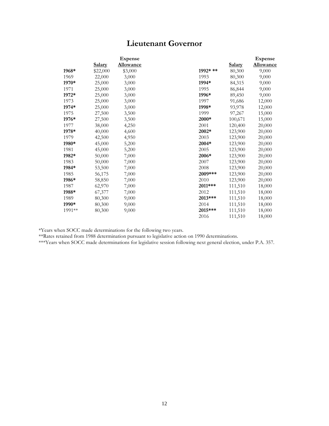## **Lieutenant Governor**

|        |               | <b>Expense</b>   |          |               | <b>Expense</b>   |
|--------|---------------|------------------|----------|---------------|------------------|
|        | <u>Salary</u> | <b>Allowance</b> |          | <b>Salary</b> | <b>Allowance</b> |
| 1968*  | \$22,000      | \$3,000          | 1992* ** | 80,300        | 9,000            |
| 1969   | 22,000        | 3,000            | 1993     | 80,300        | 9,000            |
| 1970*  | 25,000        | 3,000            | 1994*    | 84,315        | 9,000            |
| 1971   | 25,000        | 3,000            | 1995     | 86,844        | 9,000            |
| 1972*  | 25,000        | 3,000            | 1996*    | 89,450        | 9,000            |
| 1973   | 25,000        | 3,000            | 1997     | 91,686        | 12,000           |
| 1974*  | 25,000        | 3,000            | 1998*    | 93,978        | 12,000           |
| 1975   | 27,500        | 3,500            | 1999     | 97,267        | 15,000           |
| 1976*  | 27,500        | 3,500            | 2000*    | 100,671       | 15,000           |
| 1977   | 38,000        | 4,250            | 2001     | 120,400       | 20,000           |
| 1978*  | 40,000        | 4,600            | 2002*    | 123,900       | 20,000           |
| 1979   | 42,500        | 4,950            | 2003     | 123,900       | 20,000           |
| 1980*  | 45,000        | 5,200            | 2004*    | 123,900       | 20,000           |
| 1981   | 45,000        | 5,200            | 2005     | 123,900       | 20,000           |
| 1982*  | 50,000        | 7,000            | 2006*    | 123,900       | 20,000           |
| 1983   | 50,000        | 7,000            | 2007     | 123,900       | 20,000           |
| 1984*  | 53,500        | 7,000            | 2008     | 123,900       | 20,000           |
| 1985   | 56,175        | 7,000            | 2009***  | 123,900       | 20,000           |
| 1986*  | 58,850        | 7,000            | 2010     | 123,900       | 20,000           |
| 1987   | 62,970        | 7,000            | 2011***  | 111,510       | 18,000           |
| 1988*  | 67,377        | 7,000            | 2012     | 111,510       | 18,000           |
| 1989   | 80,300        | 9,000            | 2013***  | 111,510       | 18,000           |
| 1990*  | 80,300        | 9,000            | 2014     | 111,510       | 18,000           |
| 1991** | 80,300        | 9,000            | 2015***  | 111,510       | 18,000           |
|        |               |                  | 2016     | 111,510       | 18,000           |

\*Years when SOCC made determinations for the following two years.

\*\*Rates retained from 1988 determination pursuant to legislative action on 1990 determinations.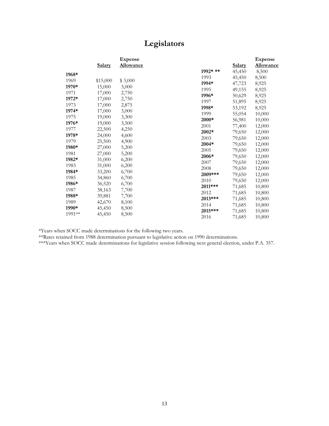# **Legislators**

|        |               | <b>Expense</b>   |          |               | <b>Expense</b> |
|--------|---------------|------------------|----------|---------------|----------------|
|        | <b>Salary</b> | <b>Allowance</b> |          | <b>Salary</b> | Allowance      |
|        |               |                  | 1992* ** | 45,450        | 8,500          |
| 1968*  |               |                  | 1993     | 45,450        | 8,500          |
| 1969   | \$15,000      | \$3,000          | 1994*    | 47,723        | 8,925          |
| 1970*  | 15,000        | 3,000            | 1995     | 49,155        | 8,925          |
| 1971   | 17,000        | 2,750            | 1996*    | 50,629        | 8,925          |
| 1972*  | 17,000        | 2,750            | 1997     | 51,895        | 8,925          |
| 1973   | 17,000        | 2,875            | 1998*    | 53,192        | 8,925          |
| 1974*  | 17,000        | 3,000            | 1999     | 55,054        | 10,000         |
| 1975   | 19,000        | 3,300            | 2000*    | 56,981        | 10,000         |
| 1976*  | 19,000        | 3,500            | 2001     | 77,400        | 12,000         |
| 1977   | 22,500        | 4,250            | 2002*    | 79,650        | 12,000         |
| 1978*  | 24,000        | 4,600            | 2003     | 79,650        | 12,000         |
| 1979   | 25,500        | 4,900            | 2004*    | 79,650        | 12,000         |
| 1980*  | 27,000        | 5,200            | 2005     | 79,650        | 12,000         |
| 1981   | 27,000        | 5,200            | 2006*    | 79,650        | 12,000         |
| 1982*  | 31,000        | 6,200            | 2007     | 79,650        | 12,000         |
| 1983   | 31,000        | 6,200            | 2008     | 79,650        | 12,000         |
| 1984*  | 33,200        | 6,700            | 2009***  | 79,650        | 12,000         |
| 1985   | 34,860        | 6,700            | 2010     | 79,650        | 12,000         |
| 1986*  | 36,520        | 6,700            | 2011***  | 71,685        | 10,800         |
| 1987   | 38,163        | 7,700            | 2012     | 71,685        | 10,800         |
| 1988*  | 39,881        | 7,700            | 2013***  |               |                |
| 1989   | 42,670        | 8,100            | 2014     | 71,685        | 10,800         |
| 1990*  | 45,450        | 8,500            |          | 71,685        | 10,800         |
| 1991** | 45,450        | 8,500            | 2015***  | 71,685        | 10,800         |
|        |               |                  | 2016     | 71,685        | 10,800         |

\*Years when SOCC made determinations for the following two years.

\*\*Rates retained from 1988 determination pursuant to legislative action on 1990 determinations.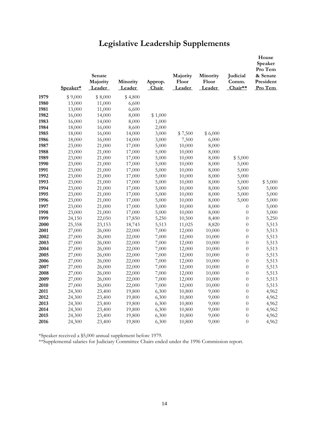# **Legislative Leadership Supplements**

|      | Speaker* | Senate<br>Majority<br>Leader | Minority<br>Leader | Approp.<br>Chair | Majority<br>Floor<br><b>Leader</b> | Minority<br>Floor<br>Leader | Judicial<br>Comm.<br>Chair** | House<br>Speaker<br>Pro Tem<br>& Senate<br>President<br>Pro Tem |
|------|----------|------------------------------|--------------------|------------------|------------------------------------|-----------------------------|------------------------------|-----------------------------------------------------------------|
| 1979 | \$9,000  | \$8,000                      | \$4,800            |                  |                                    |                             |                              |                                                                 |
| 1980 | 13,000   | 11,000                       | 6,600              |                  |                                    |                             |                              |                                                                 |
| 1981 | 13,000   | 11,000                       | 6,600              |                  |                                    |                             |                              |                                                                 |
| 1982 | 16,000   | 14,000                       | 8,000              | \$1,000          |                                    |                             |                              |                                                                 |
| 1983 | 16,000   | 14,000                       | 8,000              | 1,000            |                                    |                             |                              |                                                                 |
| 1984 | 18,000   | 16,000                       | 8,600              | 2,000            |                                    |                             |                              |                                                                 |
| 1985 | 18,000   | 16,000                       | 14,000             | 3,000            | \$7,500                            | \$6,000                     |                              |                                                                 |
| 1986 | 18,000   | 16,000                       | 14,000             | 3,000            | 7,500                              | 6,000                       |                              |                                                                 |
| 1987 | 23,000   | 21,000                       | 17,000             | 5,000            | 10,000                             | 8,000                       |                              |                                                                 |
| 1988 | 23,000   | 21,000                       | 17,000             | 5,000            | 10,000                             | 8,000                       |                              |                                                                 |
| 1989 | 23,000   | 21,000                       | 17,000             | 5,000            | 10,000                             | 8,000                       | \$5,000                      |                                                                 |
| 1990 | 23,000   | 21,000                       | 17,000             | 5,000            | 10,000                             | 8,000                       | 5,000                        |                                                                 |
| 1991 | 23,000   | 21,000                       | 17,000             | 5,000            | 10,000                             | 8,000                       | 5,000                        |                                                                 |
| 1992 | 23,000   | 21,000                       | 17,000             | 5,000            | 10,000                             | 8,000                       | 5,000                        |                                                                 |
| 1993 | 23,000   | 21,000                       | 17,000             | 5,000            | 10,000                             | 8,000                       | 5,000                        | \$5,000                                                         |
| 1994 | 23,000   | 21,000                       | 17,000             | 5,000            | 10,000                             | 8,000                       | 5,000                        | 5,000                                                           |
| 1995 | 23,000   | 21,000                       | 17,000             | 5,000            | 10,000                             | 8,000                       | 5,000                        | 5,000                                                           |
| 1996 | 23,000   | 21,000                       | 17,000             | 5,000            | 10,000                             | 8,000                       | 5,000                        | 5,000                                                           |
| 1997 | 23,000   | 21,000                       | 17,000             | 5,000            | 10,000                             | 8,000                       | $\theta$                     | 5,000                                                           |
| 1998 | 23,000   | 21,000                       | 17,000             | 5,000            | 10,000                             | 8,000                       | $\boldsymbol{0}$             | 5,000                                                           |
| 1999 | 24,150   | 22,050                       | 17,850             | 5,250            | 10,500                             | 8,400                       | $\boldsymbol{0}$             | 5,250                                                           |
| 2000 | 25,358   | 23,153                       | 18,743             | 5,513            | 11,025                             | 8,820                       | $\overline{0}$               | 5,513                                                           |
| 2001 | 27,000   | 26,000                       | 22,000             | 7,000            | 12,000                             | 10,000                      | $\boldsymbol{0}$             | 5,513                                                           |
| 2002 | 27,000   | 26,000                       | 22,000             | 7,000            | 12,000                             | 10,000                      | $\overline{0}$               | 5,513                                                           |
| 2003 | 27,000   | 26,000                       | 22,000             | 7,000            | 12,000                             | 10,000                      | $\theta$                     | 5,513                                                           |
| 2004 | 27,000   | 26,000                       | 22,000             | 7,000            | 12,000                             | 10,000                      | $\boldsymbol{0}$             | 5,513                                                           |
| 2005 | 27,000   | 26,000                       | 22,000             | 7,000            | 12,000                             | 10,000                      | $\boldsymbol{0}$             | 5,513                                                           |
| 2006 | 27,000   | 26,000                       | 22,000             | 7,000            | 12,000                             | 10,000                      | $\theta$                     | 5,513                                                           |
| 2007 | 27,000   | 26,000                       | 22,000             | 7,000            | 12,000                             | 10,000                      | $\boldsymbol{0}$             | 5,513                                                           |
| 2008 | 27,000   | 26,000                       | 22,000             | 7,000            | 12,000                             | 10,000                      | $\boldsymbol{0}$             | 5,513                                                           |
| 2009 | 27,000   | 26,000                       | 22,000             | 7,000            | 12,000                             | 10,000                      | $\theta$                     | 5,513                                                           |
| 2010 | 27,000   | 26,000                       | 22,000             | 7,000            | 12,000                             | 10,000                      | $\boldsymbol{0}$             | 5,513                                                           |
| 2011 | 24,300   | 23,400                       | 19,800             | 6,300            | 10,800                             | 9,000                       | $\boldsymbol{0}$             | 4,962                                                           |
| 2012 | 24,300   | 23,400                       | 19,800             | 6,300            | 10,800                             | 9,000                       | $\theta$                     | 4,962                                                           |
| 2013 | 24,300   | 23,400                       | 19,800             | 6,300            | 10,800                             | 9,000                       | $\boldsymbol{0}$             | 4,962                                                           |
| 2014 | 24,300   | 23,400                       | 19,800             | 6,300            | 10,800                             | 9,000                       | $\boldsymbol{0}$             | 4,962                                                           |
| 2015 | 24,300   | 23,400                       | 19,800             | 6,300            | 10,800                             | 9,000                       | $\theta$                     | 4,962                                                           |
| 2016 | 24,300   | 23,400                       | 19,800             | 6,300            | 10,800                             | 9,000                       | $\overline{0}$               | 4,962                                                           |

\*Speaker received a \$5,000 annual supplement before 1979.

\*\*Supplemental salaries for Judiciary Committee Chairs ended under the 1996 Commission report.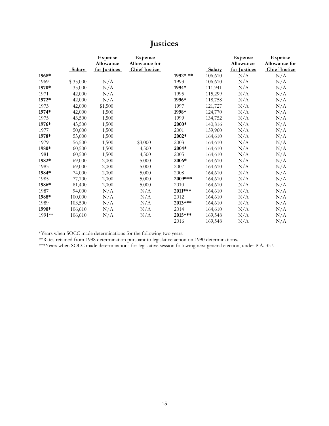# **Justices**

|        | Salary   | <b>Expense</b><br>Allowance<br>for Justices | <b>Expense</b><br>Allowance for<br><b>Chief Justice</b> |          | Salary  | <b>Expense</b><br>Allowance<br>for Justices | <b>Expense</b><br>Allowance for<br><b>Chief Justice</b> |
|--------|----------|---------------------------------------------|---------------------------------------------------------|----------|---------|---------------------------------------------|---------------------------------------------------------|
| 1968*  |          |                                             |                                                         | 1992* ** | 106,610 | N/A                                         | N/A                                                     |
| 1969   | \$35,000 | N/A                                         |                                                         | 1993     | 106,610 | N/A                                         | N/A                                                     |
| 1970*  | 35,000   | N/A                                         |                                                         | 1994*    | 111,941 | N/A                                         | N/A                                                     |
| 1971   | 42,000   | N/A                                         |                                                         | 1995     | 115,299 | N/A                                         | N/A                                                     |
| 1972*  | 42,000   | N/A                                         |                                                         | 1996*    | 118,758 | N/A                                         | N/A                                                     |
| 1973   | 42,000   | \$1,500                                     |                                                         | 1997     | 121,727 | N/A                                         | N/A                                                     |
| 1974*  | 42,000   | 1,500                                       |                                                         | 1998*    | 124,770 | N/A                                         | N/A                                                     |
| 1975   | 43,500   | 1,500                                       |                                                         | 1999     | 134,752 | N/A                                         | N/A                                                     |
| 1976*  | 43,500   | 1,500                                       |                                                         | 2000*    | 140,816 | N/A                                         | N/A                                                     |
| 1977   | 50,000   | 1,500                                       |                                                         | 2001     | 159,960 | N/A                                         | N/A                                                     |
| 1978*  | 53,000   | 1,500                                       |                                                         | 2002*    | 164,610 | N/A                                         | N/A                                                     |
| 1979   | 56,500   | 1,500                                       | \$3,000                                                 | 2003     | 164,610 | N/A                                         | N/A                                                     |
| 1980*  | 60,500   | 1,500                                       | 4,500                                                   | 2004*    | 164,610 | N/A                                         | N/A                                                     |
| 1981   | 60,500   | 1,500                                       | 4,500                                                   | 2005     | 164,610 | N/A                                         | N/A                                                     |
| 1982*  | 69,000   | 2,000                                       | 5,000                                                   | 2006*    | 164,610 | N/A                                         | N/A                                                     |
| 1983   | 69,000   | 2,000                                       | 5,000                                                   | 2007     | 164,610 | N/A                                         | N/A                                                     |
| 1984*  | 74,000   | 2,000                                       | 5,000                                                   | 2008     | 164,610 | N/A                                         | N/A                                                     |
| 1985   | 77,700   | 2,000                                       | 5,000                                                   | 2009***  | 164,610 | N/A                                         | N/A                                                     |
| 1986*  | 81,400   | 2,000                                       | 5,000                                                   | 2010     | 164,610 | N/A                                         | N/A                                                     |
| 1987   | 94,000   | N/A                                         | N/A                                                     | 2011***  | 164,610 | N/A                                         | N/A                                                     |
| 1988*  | 100,000  | N/A                                         | N/A                                                     | 2012     | 164,610 | N/A                                         | N/A                                                     |
| 1989   | 103,500  | N/A                                         | N/A                                                     | 2013***  | 164,610 | N/A                                         | N/A                                                     |
| 1990*  | 106,610  | N/A                                         | N/A                                                     | 2014     | 164,610 | N/A                                         | N/A                                                     |
| 1991** | 106,610  | N/A                                         | N/A                                                     | 2015***  | 169,548 | N/A                                         | N/A                                                     |
|        |          |                                             |                                                         | 2016     | 169,548 | N/A                                         | N/A                                                     |

\*Years when SOCC made determinations for the following two years.

\*\*Rates retained from 1988 determination pursuant to legislative action on 1990 determinations.